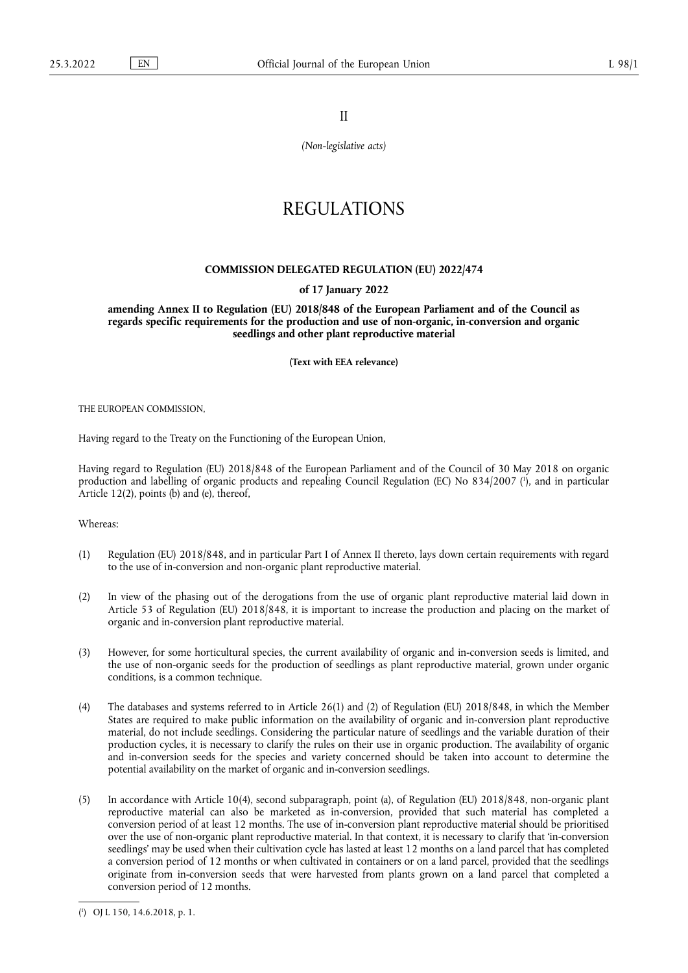II

*(Non-legislative acts)*

# REGULATIONS

## **COMMISSION DELEGATED REGULATION (EU) 2022/474**

#### **of 17 January 2022**

**amending Annex II to Regulation (EU) 2018/848 of the European Parliament and of the Council as regards specific requirements for the production and use of non-organic, in-conversion and organic seedlings and other plant reproductive material** 

**(Text with EEA relevance)** 

THE EUROPEAN COMMISSION,

Having regard to the Treaty on the Functioning of the European Union,

<span id="page-0-1"></span>Having regard to Regulation (EU) 2018/848 of the European Parliament and of the Council of 30 May 2018 on organic production and labelling of organic products and repealing Council Regulation (EC) No 834/2007 ( 1 [\),](#page-0-0) and in particular Article 12(2), points (b) and (e), thereof,

Whereas:

- (1) Regulation (EU) 2018/848, and in particular Part I of Annex II thereto, lays down certain requirements with regard to the use of in-conversion and non-organic plant reproductive material.
- (2) In view of the phasing out of the derogations from the use of organic plant reproductive material laid down in Article 53 of Regulation (EU) 2018/848, it is important to increase the production and placing on the market of organic and in-conversion plant reproductive material.
- (3) However, for some horticultural species, the current availability of organic and in-conversion seeds is limited, and the use of non-organic seeds for the production of seedlings as plant reproductive material, grown under organic conditions, is a common technique.
- (4) The databases and systems referred to in Article 26(1) and (2) of Regulation (EU) 2018/848, in which the Member States are required to make public information on the availability of organic and in-conversion plant reproductive material, do not include seedlings. Considering the particular nature of seedlings and the variable duration of their production cycles, it is necessary to clarify the rules on their use in organic production. The availability of organic and in-conversion seeds for the species and variety concerned should be taken into account to determine the potential availability on the market of organic and in-conversion seedlings.
- (5) In accordance with Article 10(4), second subparagraph, point (a), of Regulation (EU) 2018/848, non-organic plant reproductive material can also be marketed as in-conversion, provided that such material has completed a conversion period of at least 12 months. The use of in-conversion plant reproductive material should be prioritised over the use of non-organic plant reproductive material. In that context, it is necessary to clarify that 'in-conversion seedlings' may be used when their cultivation cycle has lasted at least 12 months on a land parcel that has completed a conversion period of 12 months or when cultivated in containers or on a land parcel, provided that the seedlings originate from in-conversion seeds that were harvested from plants grown on a land parcel that completed a conversion period of 12 months.

<span id="page-0-0"></span>[<sup>\(</sup>](#page-0-1) 1 ) OJ L 150, 14.6.2018, p. 1.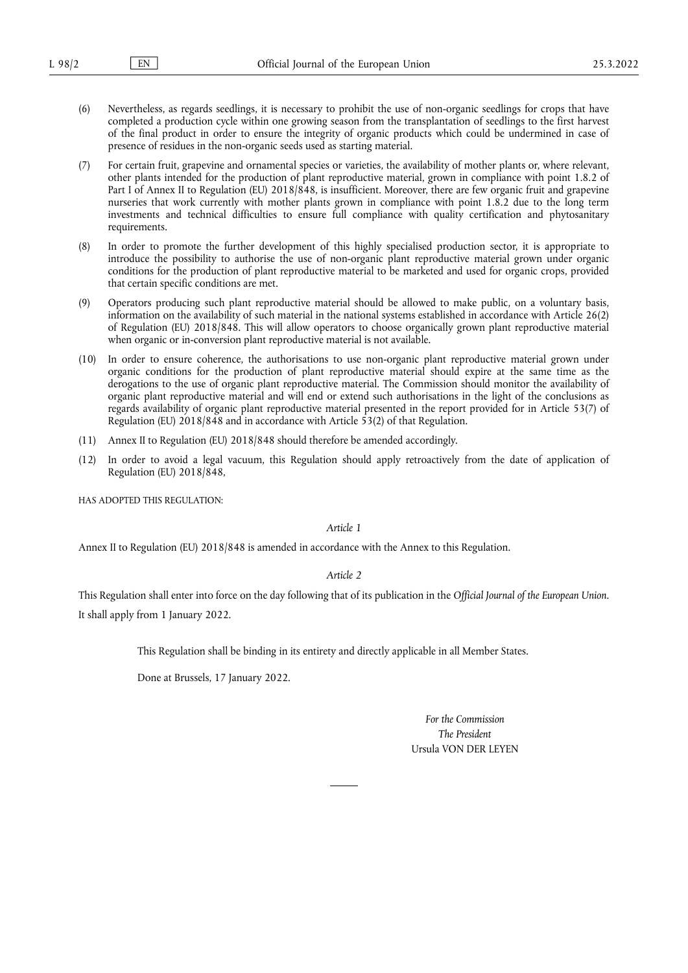- (6) Nevertheless, as regards seedlings, it is necessary to prohibit the use of non-organic seedlings for crops that have completed a production cycle within one growing season from the transplantation of seedlings to the first harvest of the final product in order to ensure the integrity of organic products which could be undermined in case of presence of residues in the non-organic seeds used as starting material.
- (7) For certain fruit, grapevine and ornamental species or varieties, the availability of mother plants or, where relevant, other plants intended for the production of plant reproductive material, grown in compliance with point 1.8.2 of Part I of Annex II to Regulation (EU) 2018/848, is insufficient. Moreover, there are few organic fruit and grapevine nurseries that work currently with mother plants grown in compliance with point 1.8.2 due to the long term investments and technical difficulties to ensure full compliance with quality certification and phytosanitary requirements.
- (8) In order to promote the further development of this highly specialised production sector, it is appropriate to introduce the possibility to authorise the use of non-organic plant reproductive material grown under organic conditions for the production of plant reproductive material to be marketed and used for organic crops, provided that certain specific conditions are met.
- (9) Operators producing such plant reproductive material should be allowed to make public, on a voluntary basis, information on the availability of such material in the national systems established in accordance with Article 26(2) of Regulation (EU) 2018/848. This will allow operators to choose organically grown plant reproductive material when organic or in-conversion plant reproductive material is not available.
- (10) In order to ensure coherence, the authorisations to use non-organic plant reproductive material grown under organic conditions for the production of plant reproductive material should expire at the same time as the derogations to the use of organic plant reproductive material. The Commission should monitor the availability of organic plant reproductive material and will end or extend such authorisations in the light of the conclusions as regards availability of organic plant reproductive material presented in the report provided for in Article 53(7) of Regulation (EU) 2018/848 and in accordance with Article 53(2) of that Regulation.
- (11) Annex II to Regulation (EU) 2018/848 should therefore be amended accordingly.
- (12) In order to avoid a legal vacuum, this Regulation should apply retroactively from the date of application of Regulation (EU) 2018/848,

HAS ADOPTED THIS REGULATION:

*Article 1*

Annex II to Regulation (EU) 2018/848 is amended in accordance with the Annex to this Regulation.

*Article 2*

This Regulation shall enter into force on the day following that of its publication in the *Official Journal of the European Union*. It shall apply from 1 January 2022.

This Regulation shall be binding in its entirety and directly applicable in all Member States.

Done at Brussels, 17 January 2022.

*For the Commission The President* Ursula VON DER LEYEN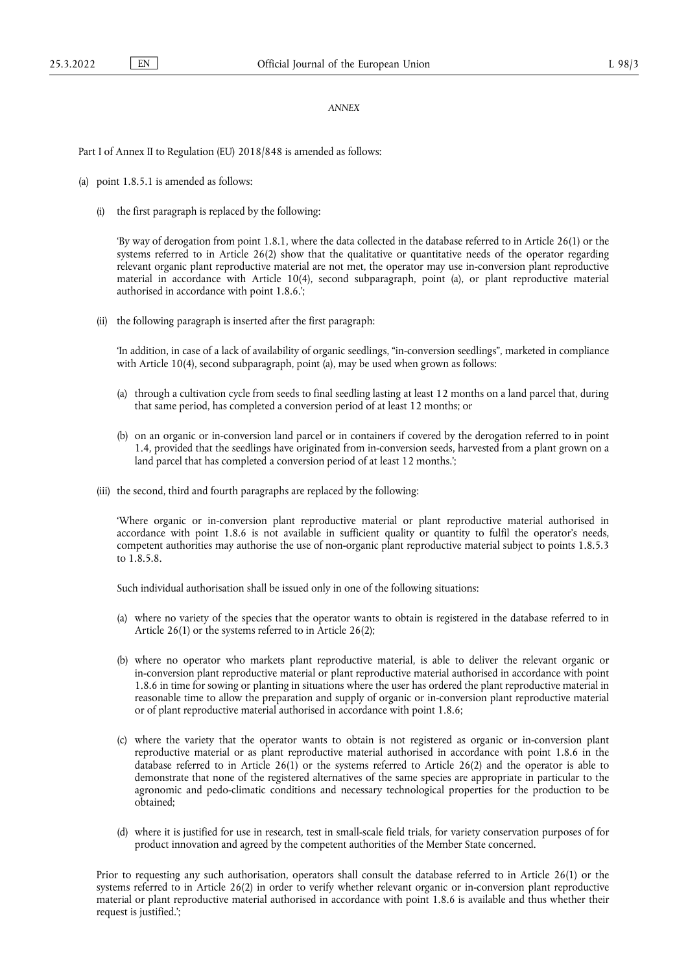### *ANNEX*

Part I of Annex II to Regulation (EU) 2018/848 is amended as follows:

- (a) point 1.8.5.1 is amended as follows:
	- (i) the first paragraph is replaced by the following:

'By way of derogation from point 1.8.1, where the data collected in the database referred to in Article 26(1) or the systems referred to in Article 26(2) show that the qualitative or quantitative needs of the operator regarding relevant organic plant reproductive material are not met, the operator may use in-conversion plant reproductive material in accordance with Article 10(4), second subparagraph, point (a), or plant reproductive material authorised in accordance with point 1.8.6.';

(ii) the following paragraph is inserted after the first paragraph:

'In addition, in case of a lack of availability of organic seedlings, "in-conversion seedlings", marketed in compliance with Article 10(4), second subparagraph, point (a), may be used when grown as follows:

- (a) through a cultivation cycle from seeds to final seedling lasting at least 12 months on a land parcel that, during that same period, has completed a conversion period of at least 12 months; or
- (b) on an organic or in-conversion land parcel or in containers if covered by the derogation referred to in point 1.4, provided that the seedlings have originated from in-conversion seeds, harvested from a plant grown on a land parcel that has completed a conversion period of at least 12 months.';
- (iii) the second, third and fourth paragraphs are replaced by the following:

'Where organic or in-conversion plant reproductive material or plant reproductive material authorised in accordance with point 1.8.6 is not available in sufficient quality or quantity to fulfil the operator's needs, competent authorities may authorise the use of non-organic plant reproductive material subject to points 1.8.5.3 to 1.8.5.8.

Such individual authorisation shall be issued only in one of the following situations:

- (a) where no variety of the species that the operator wants to obtain is registered in the database referred to in Article 26(1) or the systems referred to in Article 26(2);
- (b) where no operator who markets plant reproductive material, is able to deliver the relevant organic or in-conversion plant reproductive material or plant reproductive material authorised in accordance with point 1.8.6 in time for sowing or planting in situations where the user has ordered the plant reproductive material in reasonable time to allow the preparation and supply of organic or in-conversion plant reproductive material or of plant reproductive material authorised in accordance with point 1.8.6;
- (c) where the variety that the operator wants to obtain is not registered as organic or in-conversion plant reproductive material or as plant reproductive material authorised in accordance with point 1.8.6 in the database referred to in Article 26(1) or the systems referred to Article 26(2) and the operator is able to demonstrate that none of the registered alternatives of the same species are appropriate in particular to the agronomic and pedo-climatic conditions and necessary technological properties for the production to be obtained;
- (d) where it is justified for use in research, test in small-scale field trials, for variety conservation purposes of for product innovation and agreed by the competent authorities of the Member State concerned.

Prior to requesting any such authorisation, operators shall consult the database referred to in Article 26(1) or the systems referred to in Article 26(2) in order to verify whether relevant organic or in-conversion plant reproductive material or plant reproductive material authorised in accordance with point 1.8.6 is available and thus whether their request is justified.';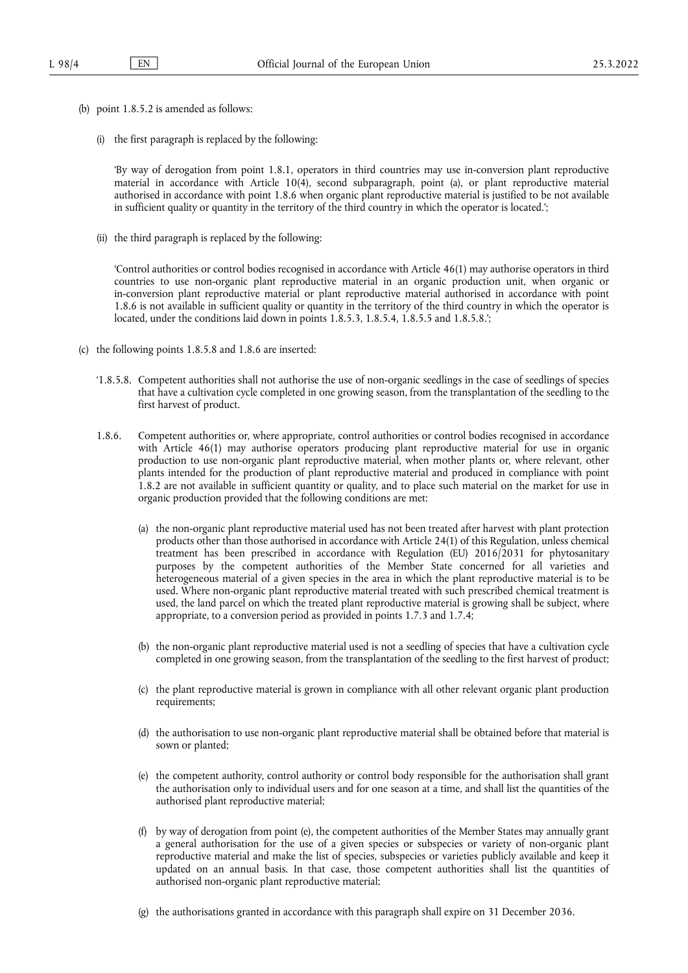- (b) point 1.8.5.2 is amended as follows:
	- (i) the first paragraph is replaced by the following:

'By way of derogation from point 1.8.1, operators in third countries may use in-conversion plant reproductive material in accordance with Article 10(4), second subparagraph, point (a), or plant reproductive material authorised in accordance with point 1.8.6 when organic plant reproductive material is justified to be not available in sufficient quality or quantity in the territory of the third country in which the operator is located.';

(ii) the third paragraph is replaced by the following:

'Control authorities or control bodies recognised in accordance with Article 46(1) may authorise operators in third countries to use non-organic plant reproductive material in an organic production unit, when organic or in-conversion plant reproductive material or plant reproductive material authorised in accordance with point 1.8.6 is not available in sufficient quality or quantity in the territory of the third country in which the operator is located, under the conditions laid down in points 1.8.5.3, 1.8.5.4, 1.8.5.5 and 1.8.5.8.';

- (c) the following points 1.8.5.8 and 1.8.6 are inserted:
	- '1.8.5.8. Competent authorities shall not authorise the use of non-organic seedlings in the case of seedlings of species that have a cultivation cycle completed in one growing season, from the transplantation of the seedling to the first harvest of product.
	- 1.8.6. Competent authorities or, where appropriate, control authorities or control bodies recognised in accordance with Article 46(1) may authorise operators producing plant reproductive material for use in organic production to use non-organic plant reproductive material, when mother plants or, where relevant, other plants intended for the production of plant reproductive material and produced in compliance with point 1.8.2 are not available in sufficient quantity or quality, and to place such material on the market for use in organic production provided that the following conditions are met:
		- (a) the non-organic plant reproductive material used has not been treated after harvest with plant protection products other than those authorised in accordance with Article 24(1) of this Regulation, unless chemical treatment has been prescribed in accordance with Regulation (EU) 2016/2031 for phytosanitary purposes by the competent authorities of the Member State concerned for all varieties and heterogeneous material of a given species in the area in which the plant reproductive material is to be used. Where non-organic plant reproductive material treated with such prescribed chemical treatment is used, the land parcel on which the treated plant reproductive material is growing shall be subject, where appropriate, to a conversion period as provided in points 1.7.3 and 1.7.4;
		- (b) the non-organic plant reproductive material used is not a seedling of species that have a cultivation cycle completed in one growing season, from the transplantation of the seedling to the first harvest of product;
		- (c) the plant reproductive material is grown in compliance with all other relevant organic plant production requirements;
		- (d) the authorisation to use non-organic plant reproductive material shall be obtained before that material is sown or planted;
		- (e) the competent authority, control authority or control body responsible for the authorisation shall grant the authorisation only to individual users and for one season at a time, and shall list the quantities of the authorised plant reproductive material;
		- (f) by way of derogation from point (e), the competent authorities of the Member States may annually grant a general authorisation for the use of a given species or subspecies or variety of non-organic plant reproductive material and make the list of species, subspecies or varieties publicly available and keep it updated on an annual basis. In that case, those competent authorities shall list the quantities of authorised non-organic plant reproductive material;
		- (g) the authorisations granted in accordance with this paragraph shall expire on 31 December 2036.